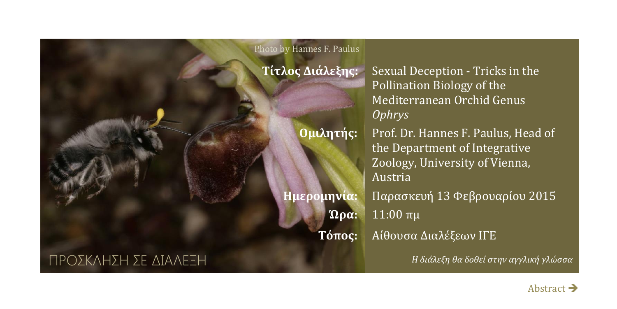#### Photo by Hannes F. Paulus

**Τίτλος Διάλεξης:** Sexual Deception - Tricks in the Pollination Biology of the Mediterranean Orchid Genus *Ophrys*

**Ομιλητής:** Prof. Dr. Hannes F. Paulus, Head of the Department of Integrative Zoology, University of Vienna, Austria

**Ημερομηνία:** Παρασκευή 13 Φεβρουαρίου 2015 **Ώρα:** 11:00 πμ

**Τόπος:** Αίθουσα Διαλέξεων ΙΓΕ

*Η διάλεξη θα δοθεί στην αγγλική γλώσσα*

## ΠΡΟΣΚΛΗΣΗ ΣΕ ΔΙΑΛΕΞΗ

[Abstract](#page-1-0)  $\rightarrow$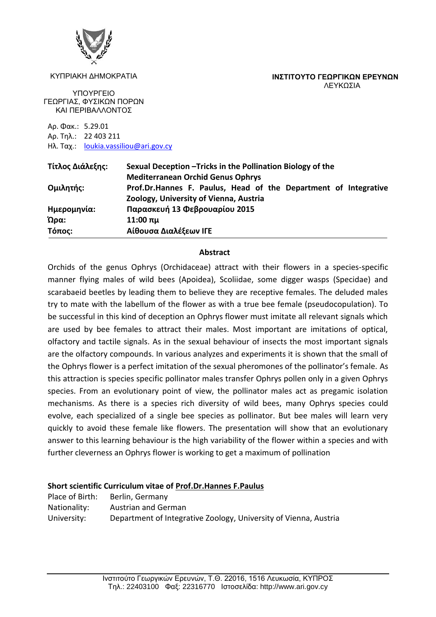

#### ΚΥΠΡΙΑΚΗ ΔΗΜΟΚΡΑΤΙΑ

<span id="page-1-0"></span>**ΙΝΣΤΙΤΟΥΤΟ ΓΕΩΡΓΙΚΩΝ ΕΡΕΥΝΩΝ** ΛΕΥΚΩΣΙΑ

ΥΠΟΥΡΓΕΙΟ ΓΕΩΡΓΙΑΣ, ΦΥΣΙΚΩΝ ΠΟΡΩΝ ΚΑΙ ΠΕΡΙΒΑΛΛΟΝΤΟΣ

Αρ. Φακ.: 5.29.01 Αρ. Τηλ.: 22 403 211 Ηλ. Ταχ.: [loukia.vassiliou@ari.gov.cy](mailto:loukia.vassiliou@ari.gov.cy)

| Τίτλος Διάλεξης: | Sexual Deception – Tricks in the Pollination Biology of the     |
|------------------|-----------------------------------------------------------------|
|                  | <b>Mediterranean Orchid Genus Ophrys</b>                        |
| Ομιλητής:        | Prof.Dr.Hannes F. Paulus, Head of the Department of Integrative |
|                  | Zoology, University of Vienna, Austria                          |
| Ημερομηνία:      | Παρασκευή 13 Φεβρουαρίου 2015                                   |
| Ώρα:             | $11:00$ πμ                                                      |
| Τόπος:           | Αίθουσα Διαλέξεων IΓΕ                                           |

### **Abstract**

Orchids of the genus Ophrys (Orchidaceae) attract with their flowers in a species-specific manner flying males of wild bees (Apoidea), Scoliidae, some digger wasps (Specidae) and scarabaeid beetles by leading them to believe they are receptive females. The deluded males try to mate with the labellum of the flower as with a true bee female (pseudocopulation). To be successful in this kind of deception an Ophrys flower must imitate all relevant signals which are used by bee females to attract their males. Most important are imitations of optical, olfactory and tactile signals. As in the sexual behaviour of insects the most important signals are the olfactory compounds. In various analyzes and experiments it is shown that the small of the Ophrys flower is a perfect imitation of the sexual pheromones of the pollinator's female. As this attraction is species specific pollinator males transfer Ophrys pollen only in a given Ophrys species. From an evolutionary point of view, the pollinator males act as pregamic isolation mechanisms. As there is a species rich diversity of wild bees, many Ophrys species could evolve, each specialized of a single bee species as pollinator. But bee males will learn very quickly to avoid these female like flowers. The presentation will show that an evolutionary answer to this learning behaviour is the high variability of the flower within a species and with further cleverness an Ophrys flower is working to get a maximum of pollination

## **Short scientific Curriculum vitae of Prof.Dr.Hannes F.Paulus**

Place of Birth: Berlin, Germany Nationality: Austrian and German University: Department of Integrative Zoology, University of Vienna, Austria